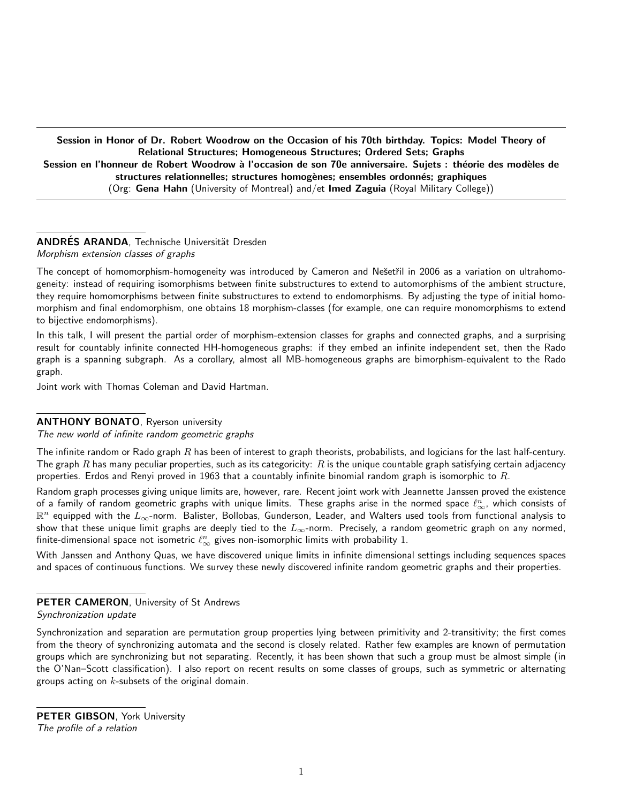Session in Honor of Dr. Robert Woodrow on the Occasion of his 70th birthday. Topics: Model Theory of Relational Structures; Homogeneous Structures; Ordered Sets; Graphs Session en l'honneur de Robert Woodrow à l'occasion de son 70e anniversaire. Sujets : théorie des modèles de structures relationnelles; structures homogènes; ensembles ordonnés; graphiques (Org: Gena Hahn (University of Montreal) and/et Imed Zaguia (Royal Military College))

## ANDRÉS ARANDA. Technische Universität Dresden Morphism extension classes of graphs

The concept of homomorphism-homogeneity was introduced by Cameron and Nešetřil in 2006 as a variation on ultrahomogeneity: instead of requiring isomorphisms between finite substructures to extend to automorphisms of the ambient structure, they require homomorphisms between finite substructures to extend to endomorphisms. By adjusting the type of initial homomorphism and final endomorphism, one obtains 18 morphism-classes (for example, one can require monomorphisms to extend to bijective endomorphisms).

In this talk, I will present the partial order of morphism-extension classes for graphs and connected graphs, and a surprising result for countably infinite connected HH-homogeneous graphs: if they embed an infinite independent set, then the Rado graph is a spanning subgraph. As a corollary, almost all MB-homogeneous graphs are bimorphism-equivalent to the Rado graph.

Joint work with Thomas Coleman and David Hartman.

## ANTHONY BONATO, Ryerson university

The new world of infinite random geometric graphs

The infinite random or Rado graph R has been of interest to graph theorists, probabilists, and logicians for the last half-century. The graph R has many peculiar properties, such as its categoricity: R is the unique countable graph satisfying certain adjacency properties. Erdos and Renyi proved in 1963 that a countably infinite binomial random graph is isomorphic to  $R$ .

Random graph processes giving unique limits are, however, rare. Recent joint work with Jeannette Janssen proved the existence of a family of random geometric graphs with unique limits. These graphs arise in the normed space  $\ell_\infty^n$ , which consists of  $\R^n$  equipped with the  $L_\infty$ -norm. Balister, Bollobas, Gunderson, Leader, and Walters used tools from functional analysis to show that these unique limit graphs are deeply tied to the  $L_{\infty}$ -norm. Precisely, a random geometric graph on any normed, finite-dimensional space not isometric  $\ell_\infty^n$  gives non-isomorphic limits with probability  $1.$ 

With Janssen and Anthony Quas, we have discovered unique limits in infinite dimensional settings including sequences spaces and spaces of continuous functions. We survey these newly discovered infinite random geometric graphs and their properties.

PETER CAMERON, University of St Andrews

Synchronization update

Synchronization and separation are permutation group properties lying between primitivity and 2-transitivity; the first comes from the theory of synchronizing automata and the second is closely related. Rather few examples are known of permutation groups which are synchronizing but not separating. Recently, it has been shown that such a group must be almost simple (in the O'Nan–Scott classification). I also report on recent results on some classes of groups, such as symmetric or alternating groups acting on  $k$ -subsets of the original domain.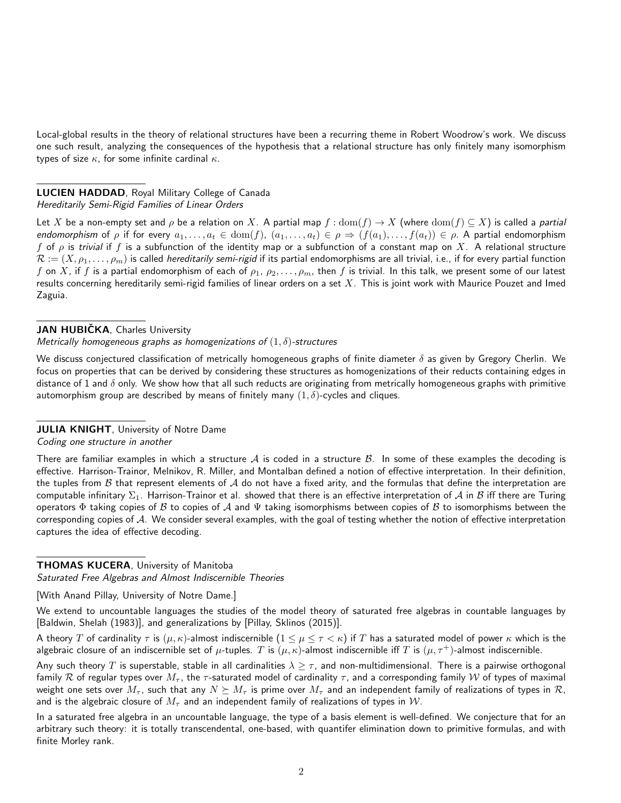Local-global results in the theory of relational structures have been a recurring theme in Robert Woodrow's work. We discuss one such result, analyzing the consequences of the hypothesis that a relational structure has only finitely many isomorphism types of size  $\kappa$ , for some infinite cardinal  $\kappa$ .

## LUCIEN HADDAD, Royal Military College of Canada Hereditarily Semi-Rigid Families of Linear Orders

Let X be a non-empty set and  $\rho$  be a relation on X. A partial map  $f: dom(f) \to X$  (where  $dom(f) \subseteq X$ ) is called a partial endomorphism of  $\rho$  if for every  $a_1, \ldots, a_t \in \text{dom}(f)$ ,  $(a_1, \ldots, a_t) \in \rho \Rightarrow (f(a_1), \ldots, f(a_t)) \in \rho$ . A partial endomorphism f of  $\rho$  is trivial if f is a subfunction of the identity map or a subfunction of a constant map on X. A relational structure  $\mathcal{R} := (X, \rho_1, \ldots, \rho_m)$  is called *hereditarily semi-rigid* if its partial endomorphisms are all trivial, i.e., if for every partial function  $f$  on  $X$ , if  $f$  is a partial endomorphism of each of  $\rho_1,\,\rho_2,\ldots,\rho_m$ , then  $f$  is trivial. In this talk, we present some of our latest results concerning hereditarily semi-rigid families of linear orders on a set  $X$ . This is joint work with Maurice Pouzet and Imed Zaguia.

## JAN HUBIČKA, Charles University

Metrically homogeneous graphs as homogenizations of  $(1, \delta)$ -structures

We discuss conjectured classification of metrically homogeneous graphs of finite diameter  $\delta$  as given by Gregory Cherlin. We focus on properties that can be derived by considering these structures as homogenizations of their reducts containing edges in distance of 1 and  $\delta$  only. We show how that all such reducts are originating from metrically homogeneous graphs with primitive automorphism group are described by means of finitely many  $(1, \delta)$ -cycles and cliques.

## **JULIA KNIGHT**, University of Notre Dame

Coding one structure in another

There are familiar examples in which a structure  $A$  is coded in a structure  $B$ . In some of these examples the decoding is effective. Harrison-Trainor, Melnikov, R. Miller, and Montalban defined a notion of effective interpretation. In their definition, the tuples from  $B$  that represent elements of  $A$  do not have a fixed arity, and the formulas that define the interpretation are computable infinitary  $\Sigma_1$ . Harrison-Trainor et al. showed that there is an effective interpretation of A in B iff there are Turing operators  $\Phi$  taking copies of  $B$  to copies of  $A$  and  $\Psi$  taking isomorphisms between copies of  $B$  to isomorphisms between the corresponding copies of A. We consider several examples, with the goal of testing whether the notion of effective interpretation captures the idea of effective decoding.

## **THOMAS KUCERA**, University of Manitoba

Saturated Free Algebras and Almost Indiscernible Theories

[With Anand Pillay, University of Notre Dame.]

We extend to uncountable languages the studies of the model theory of saturated free algebras in countable languages by [Baldwin, Shelah (1983)], and generalizations by [Pillay, Sklinos (2015)].

A theory T of cardinality  $\tau$  is  $(\mu, \kappa)$ -almost indiscernible  $(1 \leq \mu \leq \tau \lt \kappa)$  if T has a saturated model of power  $\kappa$  which is the algebraic closure of an indiscernible set of  $\mu$ -tuples. T is  $(\mu, \kappa)$ -almost indiscernible iff T is  $(\mu, \tau^+)$ -almost indiscernible.

Any such theory T is superstable, stable in all cardinalities  $\lambda \geq \tau$ , and non-multidimensional. There is a pairwise orthogonal family R of regular types over  $M_{\tau}$ , the  $\tau$ -saturated model of cardinality  $\tau$ , and a corresponding family W of types of maximal weight one sets over  $M_{\tau}$ , such that any  $N \succeq M_{\tau}$  is prime over  $M_{\tau}$  and an independent family of realizations of types in  $\mathcal{R}$ , and is the algebraic closure of  $M<sub>\tau</sub>$  and an independent family of realizations of types in W.

In a saturated free algebra in an uncountable language, the type of a basis element is well-defined. We conjecture that for an arbitrary such theory: it is totally transcendental, one-based, with quantifer elimination down to primitive formulas, and with finite Morley rank.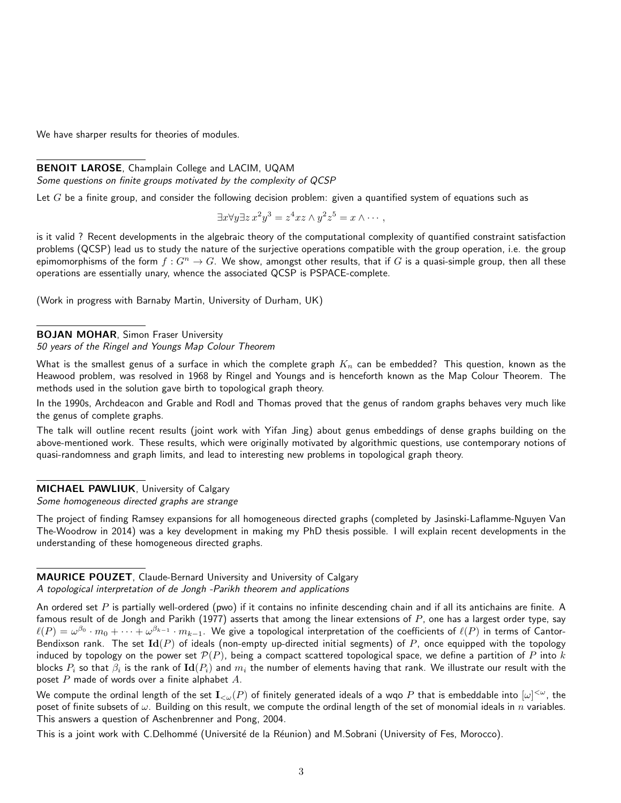We have sharper results for theories of modules.

## BENOIT LAROSE, Champlain College and LACIM, UQAM

Some questions on finite groups motivated by the complexity of QCSP

Let G be a finite group, and consider the following decision problem: given a quantified system of equations such as

$$
\exists x \forall y \exists z \, x^2 y^3 = z^4 x z \wedge y^2 z^5 = x \wedge \cdots,
$$

is it valid ? Recent developments in the algebraic theory of the computational complexity of quantified constraint satisfaction problems (QCSP) lead us to study the nature of the surjective operations compatible with the group operation, i.e. the group epimomorphisms of the form  $f: G^n \to G$ . We show, amongst other results, that if G is a quasi-simple group, then all these operations are essentially unary, whence the associated QCSP is PSPACE-complete.

(Work in progress with Barnaby Martin, University of Durham, UK)

## BOJAN MOHAR, Simon Fraser University

#### 50 years of the Ringel and Youngs Map Colour Theorem

What is the smallest genus of a surface in which the complete graph  $K_n$  can be embedded? This question, known as the Heawood problem, was resolved in 1968 by Ringel and Youngs and is henceforth known as the Map Colour Theorem. The methods used in the solution gave birth to topological graph theory.

In the 1990s, Archdeacon and Grable and Rodl and Thomas proved that the genus of random graphs behaves very much like the genus of complete graphs.

The talk will outline recent results (joint work with Yifan Jing) about genus embeddings of dense graphs building on the above-mentioned work. These results, which were originally motivated by algorithmic questions, use contemporary notions of quasi-randomness and graph limits, and lead to interesting new problems in topological graph theory.

#### MICHAEL PAWLIUK, University of Calgary

Some homogeneous directed graphs are strange

The project of finding Ramsey expansions for all homogeneous directed graphs (completed by Jasinski-Laflamme-Nguyen Van The-Woodrow in 2014) was a key development in making my PhD thesis possible. I will explain recent developments in the understanding of these homogeneous directed graphs.

# MAURICE POUZET, Claude-Bernard University and University of Calgary

#### A topological interpretation of de Jongh -Parikh theorem and applications

An ordered set  $P$  is partially well-ordered (pwo) if it contains no infinite descending chain and if all its antichains are finite. A famous result of de Jongh and Parikh (1977) asserts that among the linear extensions of  $P$ , one has a largest order type, say  $\ell(P)=\omega^{\beta_0}\cdot m_0+\cdots+\omega^{\beta_{k-1}}\cdot m_{k-1}.$  We give a topological interpretation of the coefficients of  $\ell(P)$  in terms of Cantor-Bendixson rank. The set  $Id(P)$  of ideals (non-empty up-directed initial segments) of P, once equipped with the topology induced by topology on the power set  $\mathcal{P}(P)$ , being a compact scattered topological space, we define a partition of P into k blocks  $P_i$  so that  $\beta_i$  is the rank of  ${\bf Id}(P_i)$  and  $m_i$  the number of elements having that rank. We illustrate our result with the poset  $P$  made of words over a finite alphabet  $A$ .

We compute the ordinal length of the set  $I_{<\omega}(P)$  of finitely generated ideals of a wqo  $P$  that is embeddable into  $[\omega]^{<\omega}$ , the poset of finite subsets of  $\omega$ . Building on this result, we compute the ordinal length of the set of monomial ideals in n variables. This answers a question of Aschenbrenner and Pong, 2004.

This is a joint work with C.Delhommé (Université de la Réunion) and M.Sobrani (University of Fes, Morocco).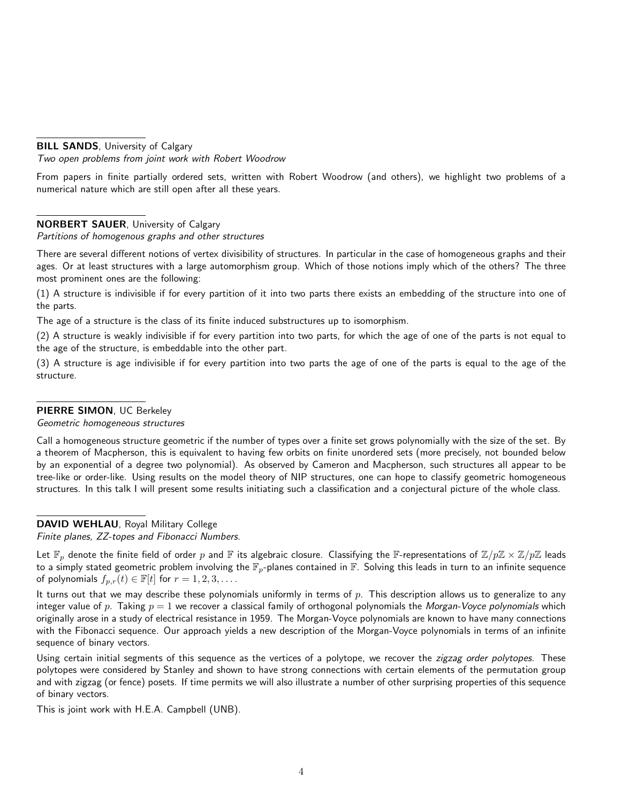#### **BILL SANDS**, University of Calgary

Two open problems from joint work with Robert Woodrow

From papers in finite partially ordered sets, written with Robert Woodrow (and others), we highlight two problems of a numerical nature which are still open after all these years.

## NORBERT SAUER, University of Calgary

#### Partitions of homogenous graphs and other structures

There are several different notions of vertex divisibility of structures. In particular in the case of homogeneous graphs and their ages. Or at least structures with a large automorphism group. Which of those notions imply which of the others? The three most prominent ones are the following:

(1) A structure is indivisible if for every partition of it into two parts there exists an embedding of the structure into one of the parts.

The age of a structure is the class of its finite induced substructures up to isomorphism.

(2) A structure is weakly indivisible if for every partition into two parts, for which the age of one of the parts is not equal to the age of the structure, is embeddable into the other part.

(3) A structure is age indivisible if for every partition into two parts the age of one of the parts is equal to the age of the structure.

#### PIERRE SIMON, UC Berkeley

Geometric homogeneous structures

Call a homogeneous structure geometric if the number of types over a finite set grows polynomially with the size of the set. By a theorem of Macpherson, this is equivalent to having few orbits on finite unordered sets (more precisely, not bounded below by an exponential of a degree two polynomial). As observed by Cameron and Macpherson, such structures all appear to be tree-like or order-like. Using results on the model theory of NIP structures, one can hope to classify geometric homogeneous structures. In this talk I will present some results initiating such a classification and a conjectural picture of the whole class.

## DAVID WEHLAU, Royal Military College

Finite planes, ZZ-topes and Fibonacci Numbers.

Let  $\mathbb{F}_p$  denote the finite field of order p and  $\mathbb{F}$  its algebraic closure. Classifying the  $\mathbb{F}$ -representations of  $\mathbb{Z}/p\mathbb{Z} \times \mathbb{Z}/p\mathbb{Z}$  leads to a simply stated geometric problem involving the  $\mathbb{F}_p$ -planes contained in  $\mathbb{F}$ . Solving this leads in turn to an infinite sequence of polynomials  $f_{p,r}(t) \in \mathbb{F}[t]$  for  $r = 1, 2, 3, \ldots$ .

It turns out that we may describe these polynomials uniformly in terms of  $p$ . This description allows us to generalize to any integer value of p. Taking  $p = 1$  we recover a classical family of orthogonal polynomials the Morgan-Voyce polynomials which originally arose in a study of electrical resistance in 1959. The Morgan-Voyce polynomials are known to have many connections with the Fibonacci sequence. Our approach yields a new description of the Morgan-Voyce polynomials in terms of an infinite sequence of binary vectors.

Using certain initial segments of this sequence as the vertices of a polytope, we recover the zigzag order polytopes. These polytopes were considered by Stanley and shown to have strong connections with certain elements of the permutation group and with zigzag (or fence) posets. If time permits we will also illustrate a number of other surprising properties of this sequence of binary vectors.

This is joint work with H.E.A. Campbell (UNB).